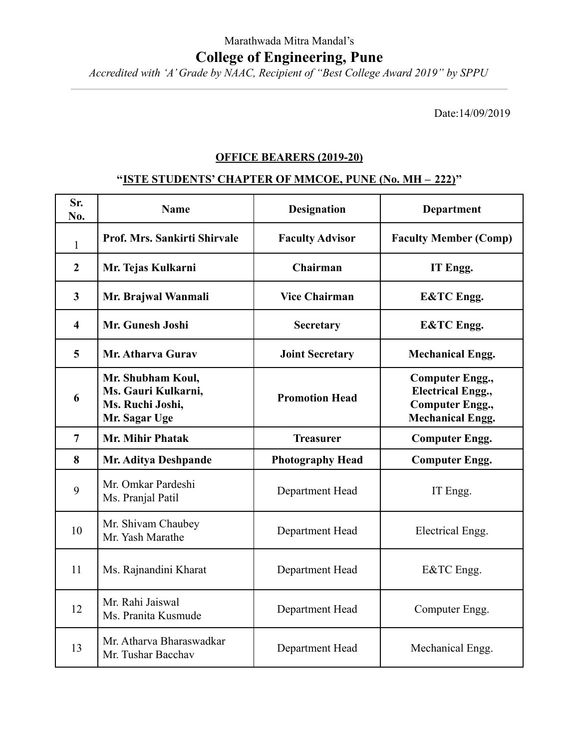## Marathwada Mitra Mandal's **College of Engineering, Pune**

*Accredited with 'A' Grade by NAAC, Recipient of "Best College Award 2019" by SPPU*

Date:14/09/2019

## **OFFICE BEARERS (2019-20)**

## **''ISTE STUDENTS' CHAPTER OF MMCOE, PUNE (No. MH – 222)''**

| Sr.<br>No.              | <b>Name</b>                                                                   | <b>Designation</b>      | <b>Department</b>                                                                                       |
|-------------------------|-------------------------------------------------------------------------------|-------------------------|---------------------------------------------------------------------------------------------------------|
| 1                       | <b>Prof. Mrs. Sankirti Shirvale</b>                                           | <b>Faculty Advisor</b>  | <b>Faculty Member (Comp)</b>                                                                            |
| $\overline{2}$          | Mr. Tejas Kulkarni                                                            | Chairman                | IT Engg.                                                                                                |
| $\mathbf{3}$            | Mr. Brajwal Wanmali                                                           | <b>Vice Chairman</b>    | <b>E&amp;TC</b> Engg.                                                                                   |
| $\overline{\mathbf{4}}$ | Mr. Gunesh Joshi                                                              | Secretary               | <b>E&amp;TC</b> Engg.                                                                                   |
| $\overline{\mathbf{5}}$ | Mr. Atharva Gurav                                                             | <b>Joint Secretary</b>  | <b>Mechanical Engg.</b>                                                                                 |
| 6                       | Mr. Shubham Koul,<br>Ms. Gauri Kulkarni,<br>Ms. Ruchi Joshi,<br>Mr. Sagar Uge | <b>Promotion Head</b>   | <b>Computer Engg.,</b><br><b>Electrical Engg.,</b><br><b>Computer Engg.,</b><br><b>Mechanical Engg.</b> |
| $\overline{7}$          | <b>Mr. Mihir Phatak</b>                                                       | <b>Treasurer</b>        | <b>Computer Engg.</b>                                                                                   |
|                         |                                                                               |                         |                                                                                                         |
| 8                       | Mr. Aditya Deshpande                                                          | <b>Photography Head</b> | <b>Computer Engg.</b>                                                                                   |
| 9                       | Mr. Omkar Pardeshi<br>Ms. Pranjal Patil                                       | Department Head         | IT Engg.                                                                                                |
| 10                      | Mr. Shivam Chaubey<br>Mr. Yash Marathe                                        | Department Head         | Electrical Engg.                                                                                        |
| 11                      | Ms. Rajnandini Kharat                                                         | Department Head         | E&TC Engg.                                                                                              |
| 12                      | Mr. Rahi Jaiswal<br>Ms. Pranita Kusmude                                       | Department Head         | Computer Engg.                                                                                          |